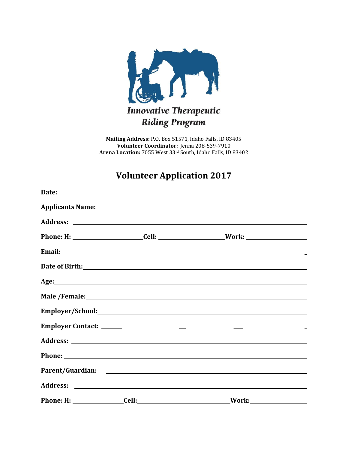

**Mailing Address:** P.O. Box 51571, Idaho Falls, ID 83405 **Volunteer Coordinator:** Jenna 208-539-7910 **Arena Location:** 7055 West 33rd South, Idaho Falls, ID 83402

# **Volunteer Application 2017**

|        | Phone: H: ________________________Cell: _________________________Work: _____________________________ |  |
|--------|------------------------------------------------------------------------------------------------------|--|
| Email: |                                                                                                      |  |
|        |                                                                                                      |  |
|        |                                                                                                      |  |
|        |                                                                                                      |  |
|        |                                                                                                      |  |
|        |                                                                                                      |  |
|        |                                                                                                      |  |
|        |                                                                                                      |  |
|        |                                                                                                      |  |
|        |                                                                                                      |  |
|        |                                                                                                      |  |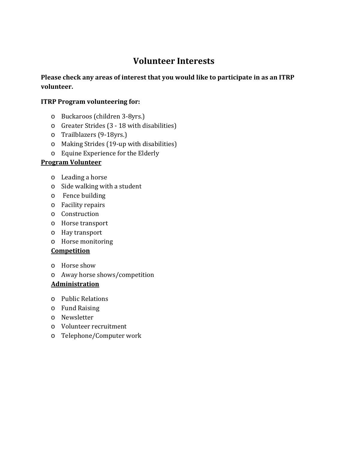# **Volunteer Interests**

## **Please check any areas of interest that you would like to participate in as an ITRP volunteer.**

### **ITRP Program volunteering for:**

- o Buckaroos (children 3-8yrs.)
- o Greater Strides (3 18 with disabilities)
- o Trailblazers (9-18yrs.)
- o Making Strides (19-up with disabilities)
- o Equine Experience for the Elderly

### **Program Volunteer**

- o Leading a horse
- o Side walking with a student
- o Fence building
- o Facility repairs
- o Construction
- o Horse transport
- o Hay transport
- o Horse monitoring

#### **Competition**

- o Horse show
- o Away horse shows/competition

#### **Administration**

- o Public Relations
- o Fund Raising
- o Newsletter
- o Volunteer recruitment
- o Telephone/Computer work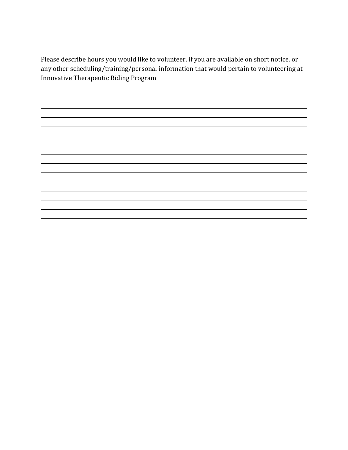Please describe hours you would like to volunteer, if you are available on short notice, or any other scheduling/training/personal information that would pertain to volunteering at Innovative Therapeutic Riding Program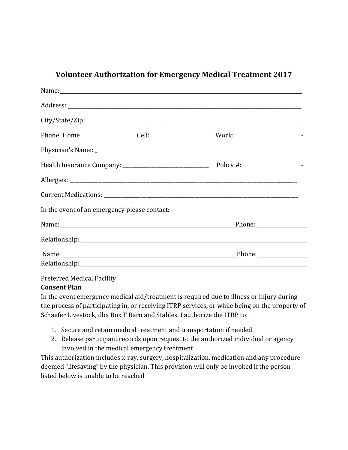|                                              |                                                                                                       | Name: Name: Name: Name: Name: Name: Name: Name: Name: Name: Name: Name: Name: Name: Name: Name: Name: Name: Name: Name: Name: Name: Name: Name: Name: Name: Name: Name: Name: Name: Name: Name: Name: Name: Name: Name: Name:  |  |
|----------------------------------------------|-------------------------------------------------------------------------------------------------------|--------------------------------------------------------------------------------------------------------------------------------------------------------------------------------------------------------------------------------|--|
|                                              |                                                                                                       |                                                                                                                                                                                                                                |  |
|                                              |                                                                                                       |                                                                                                                                                                                                                                |  |
|                                              |                                                                                                       |                                                                                                                                                                                                                                |  |
|                                              |                                                                                                       |                                                                                                                                                                                                                                |  |
|                                              |                                                                                                       |                                                                                                                                                                                                                                |  |
|                                              |                                                                                                       |                                                                                                                                                                                                                                |  |
|                                              |                                                                                                       |                                                                                                                                                                                                                                |  |
| In the event of an emergency please contact: |                                                                                                       |                                                                                                                                                                                                                                |  |
|                                              | Name: Phone: Phone: Phone: Phone: Phone: Phone: Phone: Phone: Phone: Phone: Phone: Phone: Phone: 2014 |                                                                                                                                                                                                                                |  |
|                                              |                                                                                                       |                                                                                                                                                                                                                                |  |
|                                              |                                                                                                       | Name: Phone: Phone: Phone: Phone: Phone: Phone: Phone: Phone: Phone: Phone: Phone: Phone: Phone: Phone: Phone: Phone: Phone: Phone: Phone: Phone: Phone: Phone: Phone: Phone: Phone: Phone: Phone: Phone: Phone: Phone: Phone: |  |
|                                              |                                                                                                       |                                                                                                                                                                                                                                |  |

## **Volunteer Authorization for Emergency Medical Treatment 2017**

Preferred Medical Facility:

#### **Consent Plan**

In the event emergency medical aid/treatment is required due to illness or injury during the process of participating in, or receiving ITRP services, or while being on the property of Schaefer Livestock, dba Box T Barn and Stables, I authorize the ITRP to:

- 1. Secure and retain medical treatment and transportation if needed.
- 2. Release participant records upon request to the authorized individual or agency involved in the medical emergency treatment.

This authorization includes x-ray, surgery, hospitalization, medication and any procedure deemed "lifesaving" by the physician. This provision will only be invoked if the person listed below is unable to be reached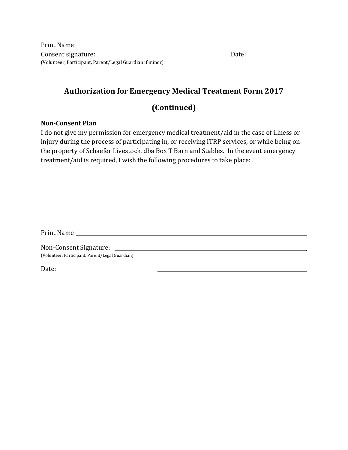Print Name: Consent signature: etc. The set of the set of the set of the set of the set of the set of the set of the set of the set of the set of the set of the set of the set of the set of the set of the set of the set of the set of (Volunteer, Participant, Parent/Legal Guardian if minor)

## **Authorization for Emergency Medical Treatment Form 2017**

## **(Continued)**

#### **Non-Consent Plan**

I do not give my permission for emergency medical treatment/aid in the case of illness or injury during the process of participating in, or receiving ITRP services, or while being on the property of Schaefer Livestock, dba Box T Barn and Stables. In the event emergency treatment/aid is required, I wish the following procedures to take place:

Print Name: 1988 and 2008 and 2008 and 2008 and 2008 and 2008 and 2008 and 2008 and 2008 and 2008 and 2008 and 2008 and 2008 and 2008 and 2008 and 2008 and 2008 and 2008 and 2008 and 2008 and 2008 and 2008 and 2008 and 200

Non-Consent Signature: (Volunteer, Participant, Parent/Legal Guardian)

Date: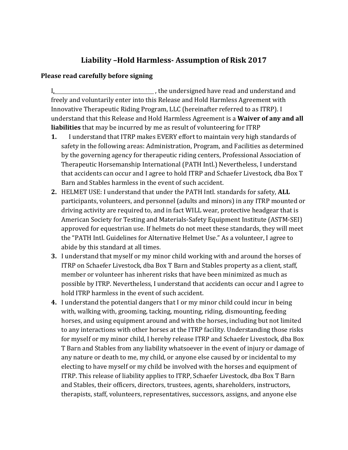## **Liability –Hold Harmless- Assumption of Risk 2017**

### **Please read carefully before signing**

I,  $\frac{1}{2}$  , the undersigned have read and understand and freely and voluntarily enter into this Release and Hold Harmless Agreement with Innovative Therapeutic Riding Program, LLC (hereinafter referred to as ITRP). I understand that this Release and Hold Harmless Agreement is a **Waiver of any and all liabilities** that may be incurred by me as result of volunteering for ITRP

- **1.** I understand that ITRP makes EVERY effort to maintain very high standards of safety in the following areas: Administration, Program, and Facilities as determined by the governing agency for therapeutic riding centers, Professional Association of Therapeutic Horsemanship International (PATH Intl.) Nevertheless, I understand that accidents can occur and I agree to hold ITRP and Schaefer Livestock, dba Box T Barn and Stables harmless in the event of such accident.
- **2.** HELMET USE: I understand that under the PATH Intl. standards for safety, **ALL**  participants, volunteers, and personnel (adults and minors) in any ITRP mounted or driving activity are required to, and in fact WILL wear, protective headgear that is American Society for Testing and Materials-Safety Equipment Institute (ASTM-SEI) approved for equestrian use. If helmets do not meet these standards, they will meet the "PATH Intl. Guidelines for Alternative Helmet Use." As a volunteer, I agree to abide by this standard at all times.
- **3.** I understand that myself or my minor child working with and around the horses of ITRP on Schaefer Livestock, dba Box T Barn and Stables property as a client, staff, member or volunteer has inherent risks that have been minimized as much as possible by ITRP. Nevertheless, I understand that accidents can occur and I agree to hold ITRP harmless in the event of such accident.
- **4.** I understand the potential dangers that I or my minor child could incur in being with, walking with, grooming, tacking, mounting, riding, dismounting, feeding horses, and using equipment around and with the horses, including but not limited to any interactions with other horses at the ITRP facility. Understanding those risks for myself or my minor child, I hereby release ITRP and Schaefer Livestock, dba Box T Barn and Stables from any liability whatsoever in the event of injury or damage of any nature or death to me, my child, or anyone else caused by or incidental to my electing to have myself or my child be involved with the horses and equipment of ITRP. This release of liability applies to ITRP, Schaefer Livestock, dba Box T Barn and Stables, their officers, directors, trustees, agents, shareholders, instructors, therapists, staff, volunteers, representatives, successors, assigns, and anyone else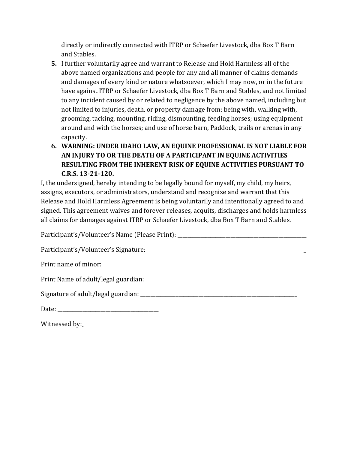directly or indirectly connected with ITRP or Schaefer Livestock, dba Box T Barn and Stables.

- **5.** I further voluntarily agree and warrant to Release and Hold Harmless all of the above named organizations and people for any and all manner of claims demands and damages of every kind or nature whatsoever, which I may now, or in the future have against ITRP or Schaefer Livestock, dba Box T Barn and Stables, and not limited to any incident caused by or related to negligence by the above named, including but not limited to injuries, death, or property damage from: being with, walking with, grooming, tacking, mounting, riding, dismounting, feeding horses; using equipment around and with the horses; and use of horse barn, Paddock, trails or arenas in any capacity.
- **6. WARNING: UNDER IDAHO LAW, AN EQUINE PROFESSIONAL IS NOT LIABLE FOR AN INJURY TO OR THE DEATH OF A PARTICIPANT IN EQUINE ACTIVITIES RESULTING FROM THE INHERENT RISK OF EQUINE ACTIVITIES PURSUANT TO C.R.S. 13-21-120.**

I, the undersigned, hereby intending to be legally bound for myself, my child, my heirs, assigns, executors, or administrators, understand and recognize and warrant that this Release and Hold Harmless Agreement is being voluntarily and intentionally agreed to and signed. This agreement waives and forever releases, acquits, discharges and holds harmless all claims for damages against ITRP or Schaefer Livestock, dba Box T Barn and Stables.

Participant's/Volunteer's Name (Please Print):

Participant's/Volunteer's Signature:

Print name of minor:

Print Name of adult/legal guardian:

Signature of adult/legal guardian:

Date: \_\_\_\_\_\_\_\_\_\_\_\_\_\_\_\_\_\_\_\_\_\_\_\_\_\_\_\_\_\_\_\_\_\_\_\_\_\_\_\_

Witnessed by: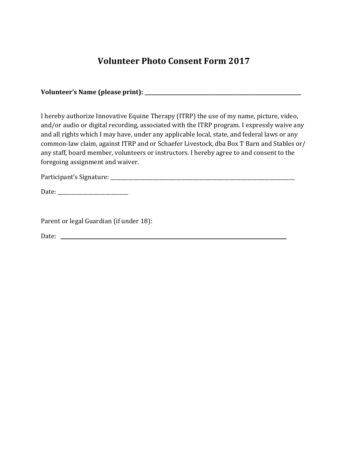# **Volunteer Photo Consent Form 2017**

**Volunteer's Name (please print): \_\_\_\_\_\_\_\_\_\_\_\_\_\_\_\_\_\_\_\_\_\_\_\_\_\_\_\_\_\_\_\_\_\_\_\_\_\_\_\_\_\_\_\_\_\_\_\_\_\_\_\_\_\_\_\_\_\_\_\_\_\_**

I hereby authorize Innovative Equine Therapy (ITRP) the use of my name, picture, video, and/or audio or digital recording, associated with the ITRP program. I expressly waive any and all rights which I may have, under any applicable local, state, and federal laws or any common-law claim, against ITRP and or Schaefer Livestock, dba Box T Barn and Stables or/ any staff, board member, volunteers or instructors. I hereby agree to and consent to the foregoing assignment and waiver.

Participant's Signature: \_\_\_\_\_\_\_\_\_\_\_\_\_\_\_\_\_\_\_\_\_\_\_\_\_\_\_\_\_\_\_\_\_\_\_\_\_\_\_\_\_\_\_\_\_\_\_\_\_\_\_\_\_\_\_\_\_\_\_\_\_\_\_\_\_\_\_\_\_\_\_\_\_

Date: \_\_\_\_\_\_\_\_\_\_\_\_\_\_\_\_\_\_\_\_\_\_\_\_\_\_\_\_

Parent or legal Guardian (if under 18):

Date: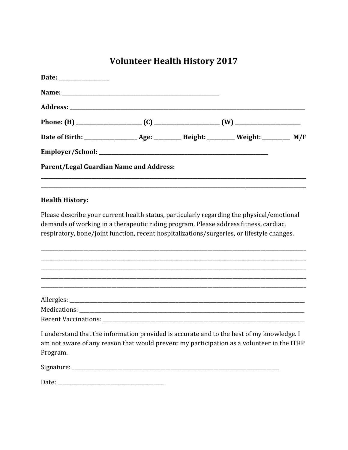# **Volunteer Health History 2017**

| Parent/Legal Guardian Name and Address:                                                                                                                                                                                                                                         |  |  |
|---------------------------------------------------------------------------------------------------------------------------------------------------------------------------------------------------------------------------------------------------------------------------------|--|--|
| <b>Health History:</b>                                                                                                                                                                                                                                                          |  |  |
| Please describe your current health status, particularly regarding the physical/emotional<br>demands of working in a therapeutic riding program. Please address fitness, cardiac,<br>respiratory, bone/joint function, recent hospitalizations/surgeries, or lifestyle changes. |  |  |

I understand that the information provided is accurate and to the best of my knowledge. I am not aware of any reason that would prevent my participation as a volunteer in the ITRP Program.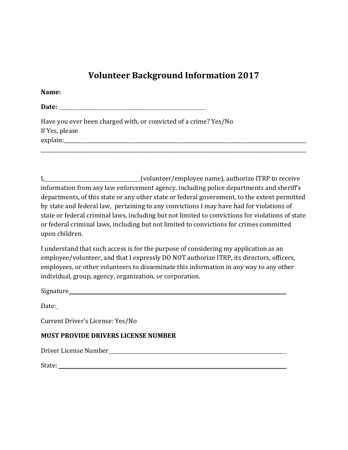## **Volunteer Background Information 2017**

**Name:** *Name:**<b>Name: <i>Properties and <b>Properties Properties and <b>Properties Properties Properties Properties Properties Properties Properties Properties Properties Properties* 

**Date: \_\_\_\_\_\_\_\_\_\_\_\_\_\_\_\_\_\_\_\_\_\_\_\_\_\_\_\_\_\_\_\_\_\_\_\_\_\_\_\_\_\_\_\_\_\_\_\_\_\_\_\_\_\_\_\_\_\_**

Have you ever been charged with, or convicted of a crime? Yes/No If Yes, please explain:

I, (volunteer/employee name), authorize ITRP to receive information from any law enforcement agency, including police departments and sheriff's departments, of this state or any other state or federal government, to the extent permitted by state and federal law, pertaining to any convictions I may have had for violations of state or federal criminal laws, including but not limited to convictions for violations of state or federal criminal laws, including but not limited to convictions for crimes committed upon children.

\_\_\_\_\_\_\_\_\_\_\_\_\_\_\_\_\_\_\_\_\_\_\_\_\_\_\_\_\_\_\_\_\_\_\_\_\_\_\_\_\_\_\_\_\_\_\_\_\_\_\_\_\_\_\_\_\_\_\_\_\_\_\_\_\_\_\_\_\_\_\_\_\_\_\_\_\_\_\_\_\_\_\_\_\_\_\_\_\_\_\_\_\_\_\_\_\_\_\_\_\_\_\_\_\_

I understand that such access is for the purpose of considering my application as an employee/volunteer, and that I expressly DO NOT authorize ITRP, its directors, officers, employees, or other volunteers to disseminate this information in any way to any other individual, group, agency, organization, or corporation.

Signature and the state of the state of the state of the state of the state of the state of the state of the state of the state of the state of the state of the state of the state of the state of the state of the state of

Date:

Current Driver's License: Yes/No

### **MUST PROVIDE DRIVERS LICENSE NUMBER**

Driver License Number

State: with the state of the state of the state of the state of the state of the state of the state of the state of the state of the state of the state of the state of the state of the state of the state of the state of th